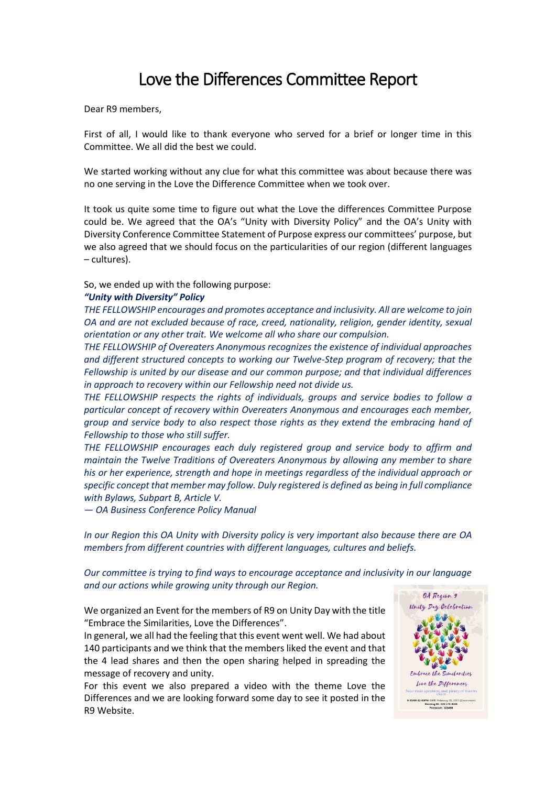Dear R9 members,

First of all, I would like to thank everyone who served for a brief or longer time in this Committee. We all did the best we could.

We started working without any clue for what this committee was about because there was no one serving in the Love the Difference Committee when we took over.

It took us quite some time to figure out what the Love the differences Committee Purpose could be. We agreed that the OA's "Unity with Diversity Policy" and the OA's Unity with Diversity Conference Committee Statement of Purpose express our committees' purpose, but we also agreed that we should focus on the particularities of our region (different languages – cultures).

So, we ended up with the following purpose:

## *"Unity with Diversity" Policy*

*THE FELLOWSHIP encourages and promotes acceptance and inclusivity. All are welcome to join OA and are not excluded because of race, creed, nationality, religion, gender identity, sexual orientation or any other trait. We welcome all who share our compulsion.*

*THE FELLOWSHIP of Overeaters Anonymous recognizes the existence of individual approaches and different structured concepts to working our Twelve-Step program of recovery; that the Fellowship is united by our disease and our common purpose; and that individual differences in approach to recovery within our Fellowship need not divide us.*

*THE FELLOWSHIP respects the rights of individuals, groups and service bodies to follow a particular concept of recovery within Overeaters Anonymous and encourages each member, group and service body to also respect those rights as they extend the embracing hand of Fellowship to those who still suffer.*

*THE FELLOWSHIP encourages each duly registered group and service body to affirm and maintain the Twelve Traditions of Overeaters Anonymous by allowing any member to share his or her experience, strength and hope in meetings regardless of the individual approach or specific concept that member may follow. Duly registered is defined as being in full compliance with Bylaws, Subpart B, Article V.*

*— OA Business Conference Policy Manual*

*In our Region this OA Unity with Diversity policy is very important also because there are OA members from different countries with different languages, cultures and beliefs.*

*Our committee is trying to find ways to encourage acceptance and inclusivity in our language and our actions while growing unity through our Region.*

We organized an Event for the members of R9 on Unity Day with the title "Embrace the Similarities, Love the Differences".

In general, we all had the feeling that this event went well. We had about 140 participants and we think that the members liked the event and that the 4 lead shares and then the open sharing helped in spreading the message of recovery and unity.

For this event we also prepared a video with the theme Love the Differences and we are looking forward some day to see it posted in the R9 Website.